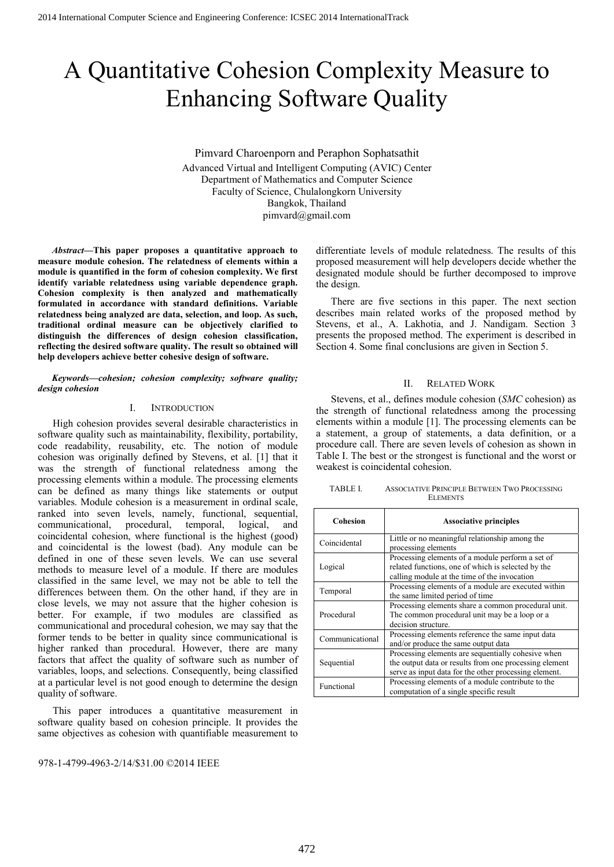# A Quantitative Cohesion Complexity Measure to Enhancing Software Quality

Pimvard Charoenporn and Peraphon Sophatsathit Advanced Virtual and Intelligent Computing (AVIC) Center Department of Mathematics and Computer Science Faculty of Science, Chulalongkorn University Bangkok, Thailand pimvard@gmail.com

*Abstract***—This paper proposes a quantitative approach to measure module cohesion. The relatedness of elements within a module is quantified in the form of cohesion complexity. We first identify variable relatedness using variable dependence graph. Cohesion complexity is then analyzed and mathematically formulated in accordance with standard definitions. Variable relatedness being analyzed are data, selection, and loop. As such, traditional ordinal measure can be objectively clarified to distinguish the differences of design cohesion classification, reflecting the desired software quality. The result so obtained will help developers achieve better cohesive design of software.** 

#### *Keywords—cohesion; cohesion complexity; software quality; design cohesion*

## I. INTRODUCTION

High cohesion provides several desirable characteristics in software quality such as maintainability, flexibility, portability, code readability, reusability, etc. The notion of module cohesion was originally defined by Stevens, et al. [1] that it was the strength of functional relatedness among the processing elements within a module. The processing elements can be defined as many things like statements or output variables. Module cohesion is a measurement in ordinal scale, ranked into seven levels, namely, functional, sequential, communicational, procedural, temporal, logical, and coincidental cohesion, where functional is the highest (good) and coincidental is the lowest (bad). Any module can be defined in one of these seven levels. We can use several methods to measure level of a module. If there are modules classified in the same level, we may not be able to tell the differences between them. On the other hand, if they are in close levels, we may not assure that the higher cohesion is better. For example, if two modules are classified as communicational and procedural cohesion, we may say that the former tends to be better in quality since communicational is higher ranked than procedural. However, there are many factors that affect the quality of software such as number of variables, loops, and selections. Consequently, being classified at a particular level is not good enough to determine the design quality of software.

This paper introduces a quantitative measurement in software quality based on cohesion principle. It provides the same objectives as cohesion with quantifiable measurement to

978-1-4799-4963-2/14/\$31.00 ©2014 IEEE

differentiate levels of module relatedness. The results of this proposed measurement will help developers decide whether the designated module should be further decomposed to improve the design.

There are five sections in this paper. The next section describes main related works of the proposed method by Stevens, et al., A. Lakhotia, and J. Nandigam. Section 3 presents the proposed method. The experiment is described in Section 4. Some final conclusions are given in Section 5.

#### II. RELATED WORK

Stevens, et al., defines module cohesion (*SMC* cohesion) as the strength of functional relatedness among the processing elements within a module [1]. The processing elements can be a statement, a group of statements, a data definition, or a procedure call. There are seven levels of cohesion as shown in Table I. The best or the strongest is functional and the worst or weakest is coincidental cohesion.

| TABLE I. | ASSOCIATIVE PRINCIPLE BETWEEN TWO PROCESSING |
|----------|----------------------------------------------|
|          | <b>ELEMENTS</b>                              |

| Cohesion                                                                                                                                                                            | <b>Associative principles</b>                                                                                                                          |  |
|-------------------------------------------------------------------------------------------------------------------------------------------------------------------------------------|--------------------------------------------------------------------------------------------------------------------------------------------------------|--|
| Coincidental                                                                                                                                                                        | Little or no meaningful relationship among the<br>processing elements                                                                                  |  |
| Logical                                                                                                                                                                             | Processing elements of a module perform a set of<br>related functions, one of which is selected by the<br>calling module at the time of the invocation |  |
| Temporal                                                                                                                                                                            | Processing elements of a module are executed within<br>the same limited period of time                                                                 |  |
| Procedural                                                                                                                                                                          | Processing elements share a common procedural unit.<br>The common procedural unit may be a loop or a<br>decision structure.                            |  |
| Communicational                                                                                                                                                                     | Processing elements reference the same input data<br>and/or produce the same output data                                                               |  |
| Processing elements are sequentially cohesive when<br>the output data or results from one processing element<br>Sequential<br>serve as input data for the other processing element. |                                                                                                                                                        |  |
| Processing elements of a module contribute to the<br>Functional<br>computation of a single specific result                                                                          |                                                                                                                                                        |  |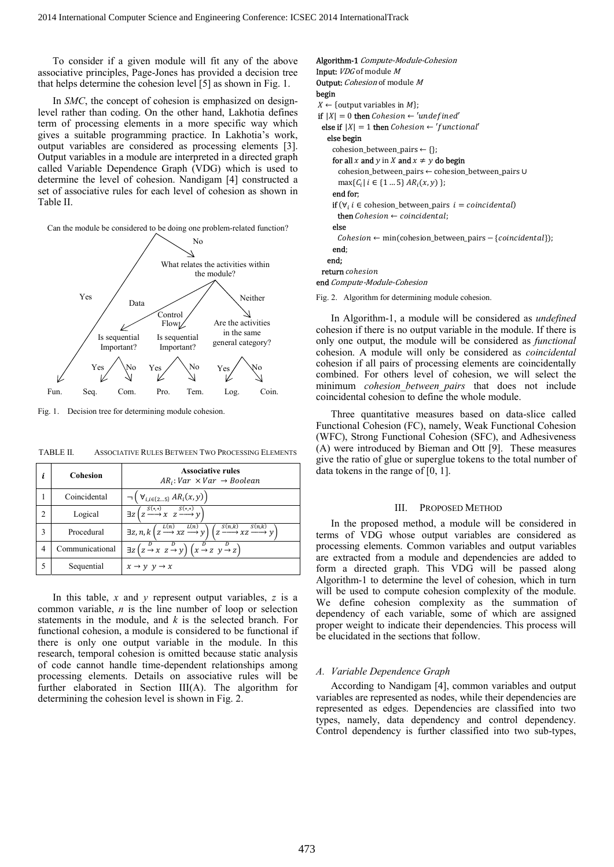To consider if a given module will fit any of the above associative principles, Page-Jones has provided a decision tree that helps determine the cohesion level [5] as shown in Fig. 1.

In *SMC*, the concept of cohesion is emphasized on designlevel rather than coding. On the other hand, Lakhotia defines term of processing elements in a more specific way which gives a suitable programming practice. In Lakhotia's work, output variables are considered as processing elements [3]. Output variables in a module are interpreted in a directed graph called Variable Dependence Graph (VDG) which is used to determine the level of cohesion. Nandigam [4] constructed a set of associative rules for each level of cohesion as shown in Table II.

Can the module be considered to be doing one problem-related function?



Fig. 1. Decision tree for determining module cohesion.

|  | TABLE II. | ASSOCIATIVE RULES BETWEEN TWO PROCESSING ELEMENTS |
|--|-----------|---------------------------------------------------|
|--|-----------|---------------------------------------------------|

|                | <b>Cohesion</b> | <b>Associative rules</b><br>$AR_i: Var \times Var \rightarrow Boolean$                                                                        |
|----------------|-----------------|-----------------------------------------------------------------------------------------------------------------------------------------------|
|                | Coincidental    | $\neg \left( \forall_{i,i \in \{25\}} AR_i(x,y) \right)$                                                                                      |
| $\mathfrak{D}$ | Logical         | $\exists z \left( z \xrightarrow{S(*,*)} x \left( z \xrightarrow{S(*,*)} y \right)$                                                           |
| 3              | Procedural      | $\exists z, n, k \left( z \xrightarrow{L(n)} xz \xrightarrow{L(n)} y \right) \left( z \xrightarrow{S(n,k)} xz \xrightarrow{S(n,k)} y \right)$ |
| 4              | Communicational | $\exists z (z \stackrel{D}{\rightarrow} x z \stackrel{D}{\rightarrow} y) (x \stackrel{D}{\rightarrow} z y \stackrel{D}{\rightarrow} z)$       |
| 5              | Sequential      | $x \rightarrow y \ y \rightarrow x$                                                                                                           |

 In this table, *x* and *y* represent output variables, *z* is a common variable, *n* is the line number of loop or selection statements in the module, and *k* is the selected branch. For functional cohesion, a module is considered to be functional if there is only one output variable in the module. In this research, temporal cohesion is omitted because static analysis of code cannot handle time-dependent relationships among processing elements. Details on associative rules will be further elaborated in Section III(A). The algorithm for determining the cohesion level is shown in Fig. 2.

| <b>Algorithm-1</b> Compute-Module-Cohesion                                                     |
|------------------------------------------------------------------------------------------------|
| <b>Input:</b> <i>VDG</i> of module <i>M</i>                                                    |
| <b>Output:</b> <i>Cohesion</i> of module M                                                     |
| begin                                                                                          |
| $X \leftarrow$ {output variables in M};                                                        |
| <b>if</b> $ X  = 0$ then <i>Cohesion</i> $\leftarrow$ 'undefined'                              |
| else if $ X  = 1$ then Cohesion $\leftarrow$ 'functional'                                      |
| else begin                                                                                     |
| cohesion_between_pairs $\leftarrow \{\}$ ;                                                     |
| for all x and y in X and $x \neq y$ do begin                                                   |
| cohesion_between_pairs ← cohesion_between_pairs ∪                                              |
| $\max\{C_i   i \in \{15\} \, AR_i(x, y) \}$                                                    |
| end for:                                                                                       |
| <b>if</b> $(\forall i \in \text{cohesion\_between\_pairs } i = \text{coincidental})$           |
| <b>then</b> Cohesion $\leftarrow$ coincidental;                                                |
| else                                                                                           |
| $\mathit{Cohesion} \leftarrow min(\text{cohesion\_between\_pairs} - \{\text{coincidental}\});$ |
| end:                                                                                           |
| end;                                                                                           |
| <b>return</b> cohesion                                                                         |
| end Compute-Module-Cohesion                                                                    |

Fig. 2. Algorithm for determining module cohesion.

In Algorithm-1, a module will be considered as *undefined* cohesion if there is no output variable in the module. If there is only one output, the module will be considered as *functional* cohesion. A module will only be considered as *coincidental* cohesion if all pairs of processing elements are coincidentally combined. For others level of cohesion, we will select the minimum *cohesion between pairs* that does not include coincidental cohesion to define the whole module.

Three quantitative measures based on data-slice called Functional Cohesion (FC), namely, Weak Functional Cohesion (WFC), Strong Functional Cohesion (SFC), and Adhesiveness (A) were introduced by Bieman and Ott [9]. These measures give the ratio of glue or superglue tokens to the total number of data tokens in the range of [0, 1].

#### III. PROPOSED METHOD

In the proposed method, a module will be considered in terms of VDG whose output variables are considered as processing elements. Common variables and output variables are extracted from a module and dependencies are added to form a directed graph. This VDG will be passed along Algorithm-1 to determine the level of cohesion, which in turn will be used to compute cohesion complexity of the module. We define cohesion complexity as the summation of dependency of each variable, some of which are assigned proper weight to indicate their dependencies. This process will be elucidated in the sections that follow.

#### *A. Variable Dependence Graph*

According to Nandigam [4], common variables and output variables are represented as nodes, while their dependencies are represented as edges. Dependencies are classified into two types, namely, data dependency and control dependency. Control dependency is further classified into two sub-types,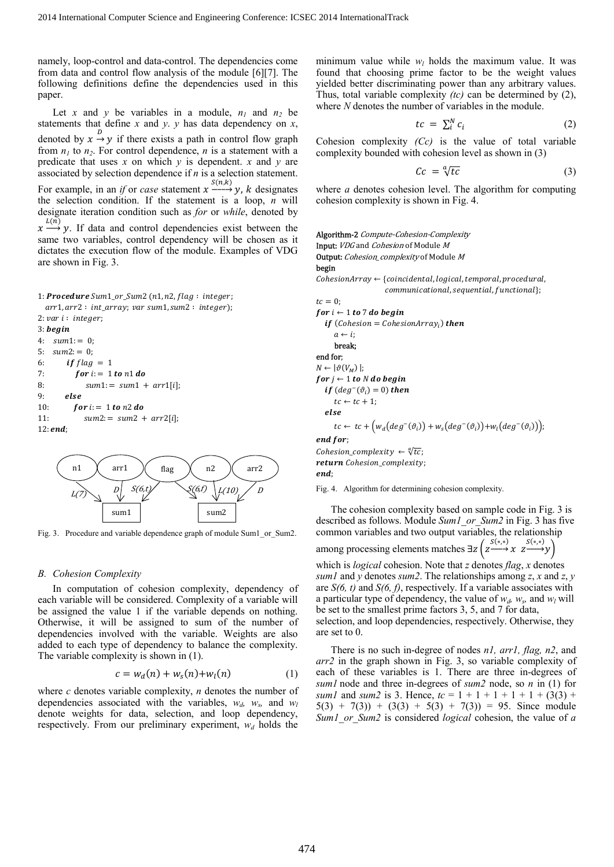namely, loop-control and data-control. The dependencies come from data and control flow analysis of the module [6][7]. The following definitions define the dependencies used in this paper.

Let x and y be variables in a module,  $n_1$  and  $n_2$  be statements that define *x* and *y*. *y* has data dependency on *x*, denoted by  $x \xrightarrow{D} y$  if there exists a path in control flow graph from  $n_1$  to  $n_2$ . For control dependence,  $n$  is a statement with a predicate that uses *x* on which *y* is dependent. *x* and *y* are associated by selection dependence if *n* is a selection statement. For example, in an *if* or *case* statement  $x \xrightarrow{S(n,k)} y$ , *k* designates the selection condition. If the statement is a loop, *n* will designate iteration condition such as *for* or *while*, denoted by  $x \stackrel{L(n)}{\longrightarrow} y$ . If data and control dependencies exist between the same two variables, control dependency will be chosen as it dictates the execution flow of the module. Examples of VDG are shown in Fig. 3.

```
1: Procedure Sum1_or\_Sum2 (n1, n2, flag: integer;arr1, arr2 : int_array; var sum1, sum2 : integer);
2: var i: integer;3: begin
4: sum1 := 0;5: sum2: = 0;6: if flag = 17: for i = 1 to n1 do
\text{Sum1} := \text{sum1} + \text{arr1}[i];9: else
10: for i = 1 to n2 do11: \quad sum2 := sum2 + arr2[i];12: end;
```


Fig. 3. Procedure and variable dependence graph of module Sum1\_or\_Sum2.

# *B. Cohesion Complexity*

In computation of cohesion complexity, dependency of each variable will be considered. Complexity of a variable will be assigned the value 1 if the variable depends on nothing. Otherwise, it will be assigned to sum of the number of dependencies involved with the variable. Weights are also added to each type of dependency to balance the complexity. The variable complexity is shown in (1).

$$
c = w_d(n) + w_s(n) + w_l(n) \tag{1}
$$

where *c* denotes variable complexity, *n* denotes the number of dependencies associated with the variables,  $w_d$ ,  $w_s$ , and  $w_l$ denote weights for data, selection, and loop dependency, respectively. From our preliminary experiment,  $w_d$  holds the

minimum value while  $w_l$  holds the maximum value. It was found that choosing prime factor to be the weight values yielded better discriminating power than any arbitrary values. Thus, total variable complexity *(tc)* can be determined by (2), where *N* denotes the number of variables in the module.

$$
tc = \sum_{i}^{N} c_i \tag{2}
$$

Cohesion complexity *(Cc)* is the value of total variable complexity bounded with cohesion level as shown in (3)

$$
Cc = \sqrt[q]{tc} \tag{3}
$$

where *a* denotes cohesion level. The algorithm for computing cohesion complexity is shown in Fig. 4.

```
Algorithm-2 Compute-Cohesion-Complexity
Input: VDG and Cohesion of Module M
Output: Cohesion_complexity of Module M
begin 
\emph{CohesionArray} \leftarrow \emph{Coincidental, logical, temporal, procedural,}communicational, sequential, functional};
tr = 0for i \leftarrow 1 to 7 do begin
   if (Cohesion = CohesionArray<sub>i</sub>) then
      a \leftarrow i break; 
end for; 
N \leftarrow |\vartheta(V_M)|;for j \leftarrow 1 to N do begin
   if deg^-(\vartheta_i) = 0) then
      tc \leftarrow tc + 1;else
      tc \leftarrow tc + \left(w_d(deg^{-}(\vartheta_i)) + w_s(deg^{-}(\vartheta_i)) + w_l(deg^{-}(\vartheta_i))\right);end for:
Cohesion_complexity \leftarrow \sqrt[q]{tc};
return Cohesion complexity;
end:
```
Fig. 4. Algorithm for determining cohesion complexity.

 The cohesion complexity based on sample code in Fig. 3 is described as follows. Module *Sum1\_or\_Sum2* in Fig. 3 has five common variables and two output variables, the relationship among processing elements matches  $\exists z \left( \begin{array}{cc} S^{(*,*)} & S^{(*,*}) \\ Z \longrightarrow X & Z \longrightarrow Y \end{array} \right)$ 

which is *logical* cohesion. Note that *z* denotes *flag*, *x* denotes *sum1* and *y* denotes *sum2*. The relationships among *z*, *x* and *z*, *y* are *S(6, t)* and *S(6, f)*, respectively. If a variable associates with a particular type of dependency, the value of  $w_d$ ,  $w_s$ , and  $w_l$  will

be set to the smallest prime factors 3, 5, and 7 for data, selection, and loop dependencies, respectively. Otherwise, they are set to 0.

There is no such in-degree of nodes *n1, arr1, flag, n2*, and *arr2* in the graph shown in Fig. 3, so variable complexity of each of these variables is 1. There are three in-degrees of *sum1* node and three in-degrees of *sum2* node, so *n* in (1) for *sum1* and *sum2* is 3. Hence,  $tc = 1 + 1 + 1 + 1 + 1 + (3(3) + 1)$  $5(3) + 7(3) + (3(3) + 5(3) + 7(3)) = 95$ . Since module *Sum1\_or\_Sum2* is considered *logical* cohesion, the value of *a*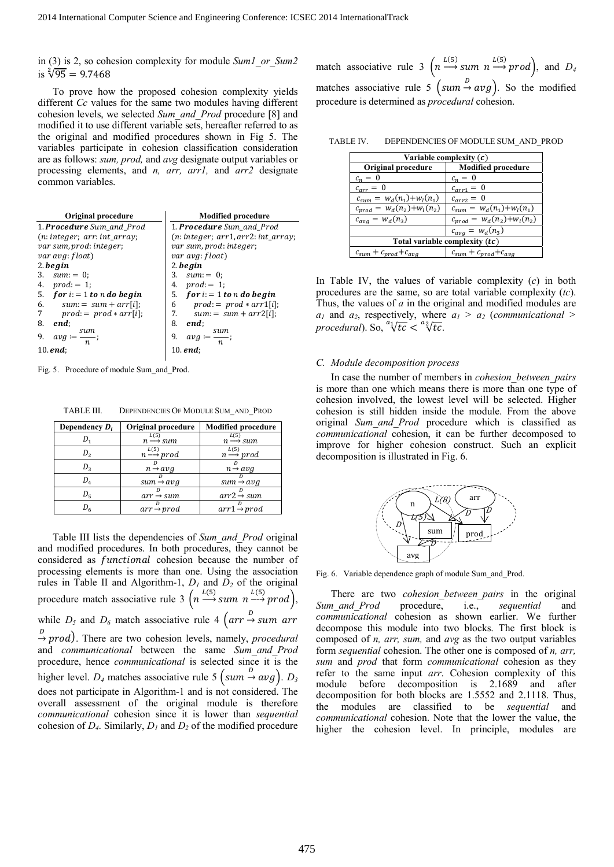in (3) is 2, so cohesion complexity for module *Sum1\_or\_Sum2* is  $\sqrt[2]{95} = 9.7468$ 

 To prove how the proposed cohesion complexity yields different *Cc* values for the same two modules having different cohesion levels, we selected *Sum\_and\_Prod* procedure [8] and modified it to use different variable sets, hereafter referred to as the original and modified procedures shown in Fig 5. The variables participate in cohesion classification consideration are as follows: *sum, prod,* and *avg* designate output variables or processing elements, and *n, arr, arr1,* and *arr2* designate common variables.

| Original procedure               | <b>Modified procedure</b>                       |  |
|----------------------------------|-------------------------------------------------|--|
| 1. <b>Procedure</b> Sum and Prod | 1. <b>Procedure</b> Sum and Prod                |  |
| $(n: integer; arr: int_array;$   | $(n: integer; arr1, arr2: int_array;$           |  |
| var sum, prod: integer;          | var sum, prod: integer;                         |  |
| var avg: float)                  | var avg: float)                                 |  |
| $2.$ <i>begin</i>                | $2.$ <i>begin</i>                               |  |
| 3. $sum := 0$ ;                  | 3.<br>$sum: = 0$                                |  |
| 4.<br>$prod := 1$ ;              | 4. $prod := 1$ ;                                |  |
| 5. for $i = 1$ to n do begin     | 5. for $i = 1$ to n do begin                    |  |
| 6. $sum := sum + arr[i];$        | 6<br>$prod := prod * arr1[i];$                  |  |
| 7<br>$prod := prod * arr[i];$    | 7.<br>$sum := sum + arr2[i];$                   |  |
| 8.<br>end:                       | 8.<br>end;                                      |  |
| sum<br>9.<br>$avg =$<br>n.       | sum<br>9.<br>$avg :=$ —;<br>$\boldsymbol{\eta}$ |  |
| $10.$ end;                       | 10. $end:$                                      |  |

Fig. 5. Procedure of module Sum\_and\_Prod.

| TABLE III. | DEPENDENCIES OF MODULE SUM AND PROD |  |
|------------|-------------------------------------|--|
|            |                                     |  |

| Dependency $D_i$ | Original procedure          | <b>Modified procedure</b>   |
|------------------|-----------------------------|-----------------------------|
| $D_{1}$          | L(5)<br>$n \rightarrow sum$ | L(5)<br>$n \rightarrow sum$ |
| $D_{2}$          | $n \xrightarrow{L(5)} prod$ | $n \xrightarrow{L(5)} prod$ |
| $D_{3}$          | $n \rightarrow a \nu q$     | $n \rightarrow a \nu g$     |
| $D_4$            | $sum \rightarrow avq$       | $sum \rightarrow avq$       |
| $D_{\epsilon}$   | $arr \rightarrow sum$       | $arr2 \rightarrow sum$      |
| D <sub>6</sub>   | $arr \rightarrow prod$      | $arr1 \rightarrow prod$     |

 Table III lists the dependencies of *Sum\_and\_Prod* original and modified procedures. In both procedures, they cannot be considered as *functional* cohesion because the number of processing elements is more than one. Using the association rules in Table II and Algorithm-1,  $D_1$  and  $D_2$  of the original procedure match associative rule 3  $\left(n \xrightarrow{L(5)} sum \ n \xrightarrow{L(5)} prod\right)$ , while  $D_5$  and  $D_6$  match associative rule 4  $\left( \arctan \frac{D}{D} \arctan \arctan \frac{D}{2}\right)$  $\stackrel{D}{\rightarrow}$  prod). There are two cohesion levels, namely, *procedural* and *communicational* between the same *Sum\_and\_Prod* procedure, hence *communicational* is selected since it is the higher level.  $D_4$  matches associative rule 5  $\left(\text{sum} \rightarrow \text{avg}\right)$ .  $D_3$ does not participate in Algorithm-1 and is not considered. The overall assessment of the original module is therefore *communicational* cohesion since it is lower than *sequential* cohesion of *D4*. Similarly, *D1* and *D2* of the modified procedure

match associative rule 3  $\left(n \xrightarrow{L(5)} sum \ n \xrightarrow{L(5)} prod\right)$ , and *D<sub>4</sub>* matches associative rule 5  $(sum \rightarrow avg)$ . So the modified procedure is determined as *procedural* cohesion.

TABLE IV. DEPENDENCIES OF MODULE SUM\_AND\_PROD

| Variable complexity $(c)$                                           |                                  |  |  |
|---------------------------------------------------------------------|----------------------------------|--|--|
| Original procedure                                                  | <b>Modified procedure</b>        |  |  |
| $c_n = 0$                                                           | $c_n = 0$                        |  |  |
| $c_{arr} = 0$                                                       | $c_{arr1} = 0$                   |  |  |
| $c_{sum} = w_d(n_1) + w_l(n_1)$                                     | $c_{arr2} = 0$                   |  |  |
| $c_{prod} = w_d(n_2) + w_l(n_2)$<br>$c_{sum} = w_d(n_1) + w_l(n_1)$ |                                  |  |  |
| $c_{avg} = w_d(n_3)$                                                | $c_{prod} = w_d(n_2) + w_l(n_2)$ |  |  |
| $c_{avg} = w_d(n_3)$                                                |                                  |  |  |
| Total variable complexity $(tc)$                                    |                                  |  |  |
| $c_{sum} + c_{prod} + c_{avg}$<br>$c_{sum} + c_{prod} + c_{avg}$    |                                  |  |  |

In Table IV, the values of variable complexity (*c*) in both procedures are the same, so are total variable complexity (*tc*). Thus, the values of *a* in the original and modified modules are  $a_1$  and  $a_2$ , respectively, where  $a_1 > a_2$  (*communicational* > *procedural*). So,  $\sqrt[a_1]{tc} < \sqrt[a_2]{tc}$ .

#### *C. Module decomposition process*

In case the number of members in *cohesion\_between\_pairs* is more than one which means there is more than one type of cohesion involved, the lowest level will be selected. Higher cohesion is still hidden inside the module. From the above original *Sum\_and\_Prod* procedure which is classified as *communicational* cohesion, it can be further decomposed to improve for higher cohesion construct. Such an explicit decomposition is illustrated in Fig. 6.



Fig. 6. Variable dependence graph of module Sum\_and\_Prod.

There are two *cohesion\_between\_pairs* in the original *Sum\_and\_Prod* procedure, i.e., *sequential* and *communicational* cohesion as shown earlier. We further decompose this module into two blocks. The first block is composed of *n, arr, sum,* and *avg* as the two output variables form *sequential* cohesion. The other one is composed of *n, arr, sum* and *prod* that form *communicational* cohesion as they refer to the same input *arr*. Cohesion complexity of this module before decomposition is 2.1689 and after decomposition for both blocks are 1.5552 and 2.1118. Thus, the modules are classified to be *sequential* and *communicational* cohesion. Note that the lower the value, the higher the cohesion level. In principle, modules are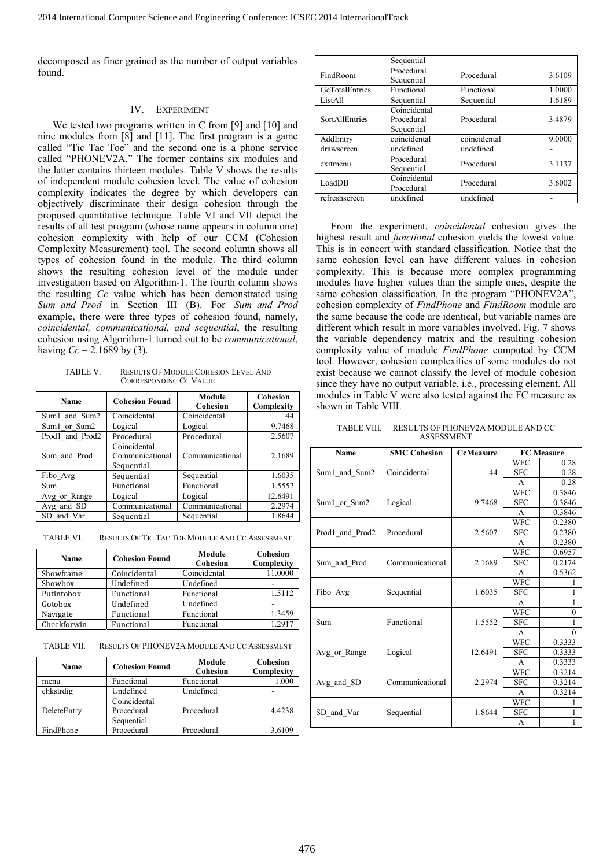decomposed as finer grained as the number of output variables found.

# IV. EXPERIMENT

We tested two programs written in C from [9] and [10] and nine modules from [8] and [11]. The first program is a game called "Tic Tac Toe" and the second one is a phone service called "PHONEV2A." The former contains six modules and the latter contains thirteen modules. Table V shows the results of independent module cohesion level. The value of cohesion complexity indicates the degree by which developers can objectively discriminate their design cohesion through the proposed quantitative technique. Table VI and VII depict the results of all test program (whose name appears in column one) cohesion complexity with help of our CCM (Cohesion Complexity Measurement) tool. The second column shows all types of cohesion found in the module. The third column shows the resulting cohesion level of the module under investigation based on Algorithm-1. The fourth column shows the resulting *Cc* value which has been demonstrated using *Sum\_and\_Prod* in Section III (B). For *Sum\_and\_Prod* example, there were three types of cohesion found, namely, *coincidental, communicational, and sequential*, the resulting cohesion using Algorithm-1 turned out to be *communicational*, having  $Cc = 2.1689$  by (3).

TABLE V. RESULTS OF MODULE COHESION LEVEL AND CORRESPONDING CC VALUE

| Name            | <b>Cohesion Found</b>                         | Module<br>Cohesion | Cohesion<br>Complexity |
|-----------------|-----------------------------------------------|--------------------|------------------------|
| Sum1 and Sum2   | Coincidental                                  | Coincidental       | 44                     |
| Sum1 or Sum2    | Logical                                       | Logical            | 9.7468                 |
| Prod1 and Prod2 | Procedural                                    | Procedural         | 2.5607                 |
| Sum and Prod    | Coincidental<br>Communicational<br>Sequential | Communicational    | 2.1689                 |
| Fibo Avg        | Sequential                                    | Sequential         | 1.6035                 |
| Sum             | Functional                                    | Functional         | 1.5552                 |
| Avg or Range    | Logical                                       | Logical            | 12.6491                |
| Avg and SD      | Communicational                               | Communicational    | 2.2974                 |
| SD and Var      | Sequential                                    | Sequential         | 1.8644                 |

TABLE VI. RESULTS OF TIC TAC TOE MODULE AND CC ASSESSMENT

| <b>Name</b> | <b>Cohesion Found</b> | Module<br>Cohesion | <b>Cohesion</b><br>Complexity |
|-------------|-----------------------|--------------------|-------------------------------|
| Showframe   | Coincidental          | Coincidental       | 11.0000                       |
| Showbox     | Undefined             | Undefined          | -                             |
| Putintobox  | Functional            | Functional         | 1.5112                        |
| Gotobox     | Undefined             | Undefined          |                               |
| Navigate    | Functional            | Functional         | 1.3459                        |
| Checkforwin | Functional            | Functional         | 1.2917                        |

TABLE VII. RESULTS OF PHONEV2A MODULE AND CC ASSESSMENT

| Name        | <b>Cohesion Found</b>                    | Module<br><b>Cohesion</b> | Cohesion<br>Complexity |
|-------------|------------------------------------------|---------------------------|------------------------|
| menu        | Functional                               | Functional                | 1.000                  |
| chkstrdig   | Undefined                                | Undefined                 |                        |
| DeleteEntry | Coincidental<br>Procedural<br>Sequential | Procedural                | 4.4238                 |
| FindPhone   | Procedural                               | Procedural                | 3.6109                 |

|                       | Sequential                               |              |        |
|-----------------------|------------------------------------------|--------------|--------|
| FindRoom              | Procedural<br>Sequential                 | Procedural   | 3.6109 |
| GeTotalEntries        | Functional                               | Functional   | 1.0000 |
| ListAll               | Sequential                               | Sequential   | 1.6189 |
| <b>SortAllEntries</b> | Coincidental<br>Procedural<br>Sequential | Procedural   | 3.4879 |
| AddEntry              | coincidental                             | coincidental | 9.0000 |
| drawscreen            | undefined                                | undefined    |        |
| exitmenu              | Procedural<br>Sequential                 | Procedural   | 3.1137 |
| LoadDB                | Coincidental<br>Procedural               | Procedural   | 3.6002 |
| refreshscreen         | undefined                                | undefined    |        |

From the experiment, *coincidental* cohesion gives the highest result and *functional* cohesion yields the lowest value. This is in concert with standard classification. Notice that the same cohesion level can have different values in cohesion complexity. This is because more complex programming modules have higher values than the simple ones, despite the same cohesion classification. In the program "PHONEV2A", cohesion complexity of *FindPhone* and *FindRoom* module are the same because the code are identical, but variable names are different which result in more variables involved. Fig. 7 shows the variable dependency matrix and the resulting cohesion complexity value of module *FindPhone* computed by CCM tool. However, cohesion complexities of some modules do not exist because we cannot classify the level of module cohesion since they have no output variable, i.e., processing element. All modules in Table V were also tested against the FC measure as shown in Table VIII.

TABLE VIII. RESULTS OF PHONEV2A MODULE AND CC ASSESSMENT

| Name            | <b>SMC Cohesion</b> | <b>CcMeasure</b> | <b>FC</b> Measure |              |
|-----------------|---------------------|------------------|-------------------|--------------|
| Sum1 and Sum2   | Coincidental        | 44               | <b>WFC</b>        | 0.28         |
|                 |                     |                  | <b>SFC</b>        | 0.28         |
|                 |                     |                  | A                 | 0.28         |
| Sum1 or Sum2    | Logical             | 9.7468           | <b>WFC</b>        | 0.3846       |
|                 |                     |                  | <b>SFC</b>        | 0.3846       |
|                 |                     |                  | A                 | 0.3846       |
| Prod1 and Prod2 | Procedural          | 2.5607           | <b>WFC</b>        | 0.2380       |
|                 |                     |                  | <b>SFC</b>        | 0.2380       |
|                 |                     |                  | A                 | 0.2380       |
| Sum and Prod    | Communicational     | 2.1689           | <b>WFC</b>        | 0.6957       |
|                 |                     |                  | <b>SFC</b>        | 0.2174       |
|                 |                     |                  | A                 | 0.5362       |
| Fibo Avg        | Sequential          | 1.6035           | <b>WFC</b>        |              |
|                 |                     |                  | <b>SFC</b>        | 1            |
|                 |                     |                  | A                 | 1            |
| Sum             | Functional          | 1.5552           | <b>WFC</b>        | $\mathbf{0}$ |
|                 |                     |                  | <b>SFC</b>        | 1            |
|                 |                     |                  | A                 | $\theta$     |
| Avg or Range    | Logical             | 12.6491          | <b>WFC</b>        | 0.3333       |
|                 |                     |                  | <b>SFC</b>        | 0.3333       |
|                 |                     |                  | A                 | 0.3333       |
| Avg and SD      | Communicational     | 2.2974           | <b>WFC</b>        | 0.3214       |
|                 |                     |                  | <b>SFC</b>        | 0.3214       |
|                 |                     |                  | A                 | 0.3214       |
| SD_and_Var      | Sequential          | 1.8644           | <b>WFC</b>        |              |
|                 |                     |                  | <b>SFC</b>        | 1            |
|                 |                     |                  | A                 | 1            |